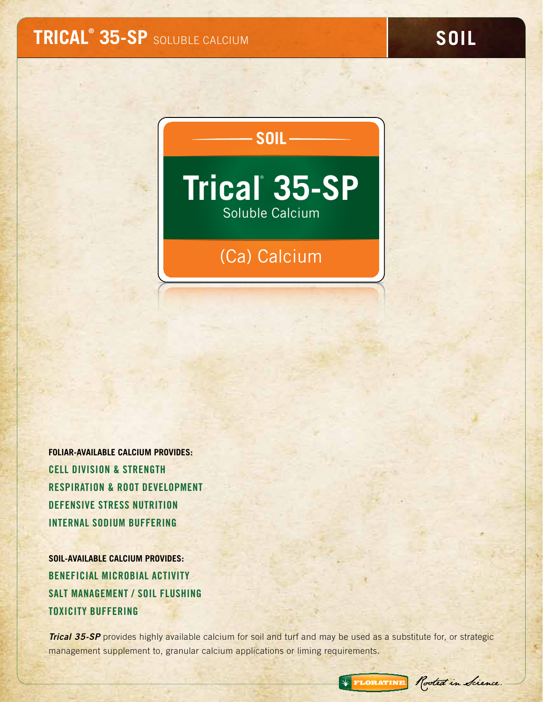# **TRICAL® 35-SP** SOLUBLE CALCIUM

**SOIL**

**SOIL**



# (Ca) Calcium

**Foliar-Available Calcium Provides:** Cell Division & Strength Respiration & Root Development Defensive Stress Nutrition Internal Sodium Buffering

**Soil-Available Calcium Provides:** Beneficial Microbial Activity Salt Management / Soil Flushing Toxicity Buffering

**Trical 35-SP** provides highly available calcium for soil and turf and may be used as a substitute for, or strategic management supplement to, granular calcium applications or liming requirements.